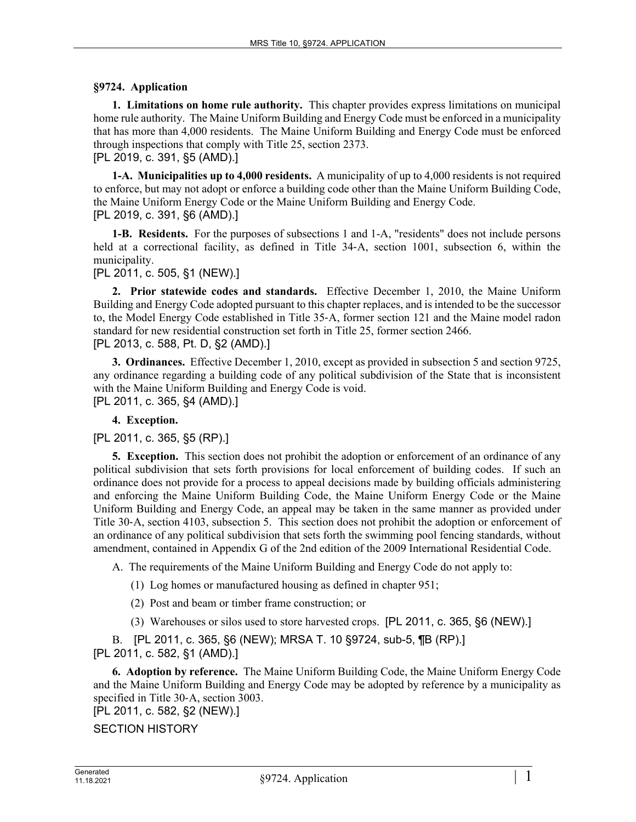## **§9724. Application**

**1. Limitations on home rule authority.** This chapter provides express limitations on municipal home rule authority. The Maine Uniform Building and Energy Code must be enforced in a municipality that has more than 4,000 residents. The Maine Uniform Building and Energy Code must be enforced through inspections that comply with Title 25, section 2373. [PL 2019, c. 391, §5 (AMD).]

**1-A. Municipalities up to 4,000 residents.** A municipality of up to 4,000 residents is not required to enforce, but may not adopt or enforce a building code other than the Maine Uniform Building Code, the Maine Uniform Energy Code or the Maine Uniform Building and Energy Code. [PL 2019, c. 391, §6 (AMD).]

**1-B. Residents.** For the purposes of subsections 1 and 1-A, "residents" does not include persons held at a correctional facility, as defined in Title 34–A, section 1001, subsection 6, within the municipality.

[PL 2011, c. 505, §1 (NEW).]

**2. Prior statewide codes and standards.** Effective December 1, 2010, the Maine Uniform Building and Energy Code adopted pursuant to this chapter replaces, and is intended to be the successor to, the Model Energy Code established in Title 35‑A, former section 121 and the Maine model radon standard for new residential construction set forth in Title 25, former section 2466. [PL 2013, c. 588, Pt. D, §2 (AMD).]

**3. Ordinances.** Effective December 1, 2010, except as provided in subsection 5 and section 9725, any ordinance regarding a building code of any political subdivision of the State that is inconsistent with the Maine Uniform Building and Energy Code is void. [PL 2011, c. 365, §4 (AMD).]

## **4. Exception.**

[PL 2011, c. 365, §5 (RP).]

**5. Exception.** This section does not prohibit the adoption or enforcement of an ordinance of any political subdivision that sets forth provisions for local enforcement of building codes. If such an ordinance does not provide for a process to appeal decisions made by building officials administering and enforcing the Maine Uniform Building Code, the Maine Uniform Energy Code or the Maine Uniform Building and Energy Code, an appeal may be taken in the same manner as provided under Title 30‑A, section 4103, subsection 5. This section does not prohibit the adoption or enforcement of an ordinance of any political subdivision that sets forth the swimming pool fencing standards, without amendment, contained in Appendix G of the 2nd edition of the 2009 International Residential Code.

A. The requirements of the Maine Uniform Building and Energy Code do not apply to:

(1) Log homes or manufactured housing as defined in chapter 951;

(2) Post and beam or timber frame construction; or

(3) Warehouses or silos used to store harvested crops. [PL 2011, c. 365, §6 (NEW).]

B. [PL 2011, c. 365, §6 (NEW); MRSA T. 10 §9724, sub-5, ¶B (RP).] [PL 2011, c. 582, §1 (AMD).]

**6. Adoption by reference.** The Maine Uniform Building Code, the Maine Uniform Energy Code and the Maine Uniform Building and Energy Code may be adopted by reference by a municipality as specified in Title 30-A, section 3003.

[PL 2011, c. 582, §2 (NEW).]

SECTION HISTORY